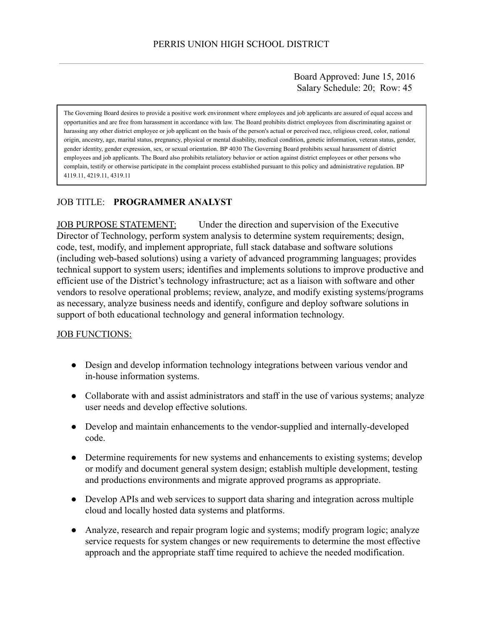Board Approved: June 15, 2016 Salary Schedule: 20; Row: 45

The Governing Board desires to provide a positive work environment where employees and job applicants are assured of equal access and opportunities and are free from harassment in accordance with law. The Board prohibits district employees from discriminating against or harassing any other district employee or job applicant on the basis of the person's actual or perceived race, religious creed, color, national origin, ancestry, age, marital status, pregnancy, physical or mental disability, medical condition, genetic information, veteran status, gender, gender identity, gender expression, sex, or sexual orientation. BP 4030 The Governing Board prohibits sexual harassment of district employees and job applicants. The Board also prohibits retaliatory behavior or action against district employees or other persons who complain, testify or otherwise participate in the complaint process established pursuant to this policy and administrative regulation. BP 4119.11, 4219.11, 4319.11

## JOB TITLE: **PROGRAMMER ANALYST**

JOB PURPOSE STATEMENT: Under the direction and supervision of the Executive Director of Technology, perform system analysis to determine system requirements; design, code, test, modify, and implement appropriate, full stack database and software solutions (including web-based solutions) using a variety of advanced programming languages; provides technical support to system users; identifies and implements solutions to improve productive and efficient use of the District's technology infrastructure; act as a liaison with software and other vendors to resolve operational problems; review, analyze, and modify existing systems/programs as necessary, analyze business needs and identify, configure and deploy software solutions in support of both educational technology and general information technology.

### **JOB FUNCTIONS:**

- Design and develop information technology integrations between various vendor and in-house information systems.
- Collaborate with and assist administrators and staff in the use of various systems; analyze user needs and develop effective solutions.
- Develop and maintain enhancements to the vendor-supplied and internally-developed code.
- Determine requirements for new systems and enhancements to existing systems; develop or modify and document general system design; establish multiple development, testing and productions environments and migrate approved programs as appropriate.
- Develop APIs and web services to support data sharing and integration across multiple cloud and locally hosted data systems and platforms.
- Analyze, research and repair program logic and systems; modify program logic; analyze service requests for system changes or new requirements to determine the most effective approach and the appropriate staff time required to achieve the needed modification.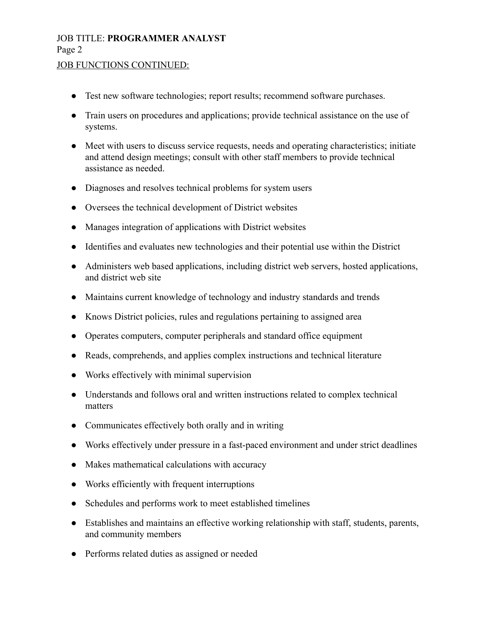# JOB TITLE: **PROGRAMMER ANALYST** Page 2

### **JOB FUNCTIONS CONTINUED:**

- Test new software technologies; report results; recommend software purchases.
- Train users on procedures and applications; provide technical assistance on the use of systems.
- Meet with users to discuss service requests, needs and operating characteristics; initiate and attend design meetings; consult with other staff members to provide technical assistance as needed.
- Diagnoses and resolves technical problems for system users
- Oversees the technical development of District websites
- Manages integration of applications with District websites
- Identifies and evaluates new technologies and their potential use within the District
- Administers web based applications, including district web servers, hosted applications, and district web site
- Maintains current knowledge of technology and industry standards and trends
- Knows District policies, rules and regulations pertaining to assigned area
- Operates computers, computer peripherals and standard office equipment
- Reads, comprehends, and applies complex instructions and technical literature
- Works effectively with minimal supervision
- Understands and follows oral and written instructions related to complex technical matters
- Communicates effectively both orally and in writing
- Works effectively under pressure in a fast-paced environment and under strict deadlines
- Makes mathematical calculations with accuracy
- Works efficiently with frequent interruptions
- Schedules and performs work to meet established timelines
- Establishes and maintains an effective working relationship with staff, students, parents, and community members
- Performs related duties as assigned or needed